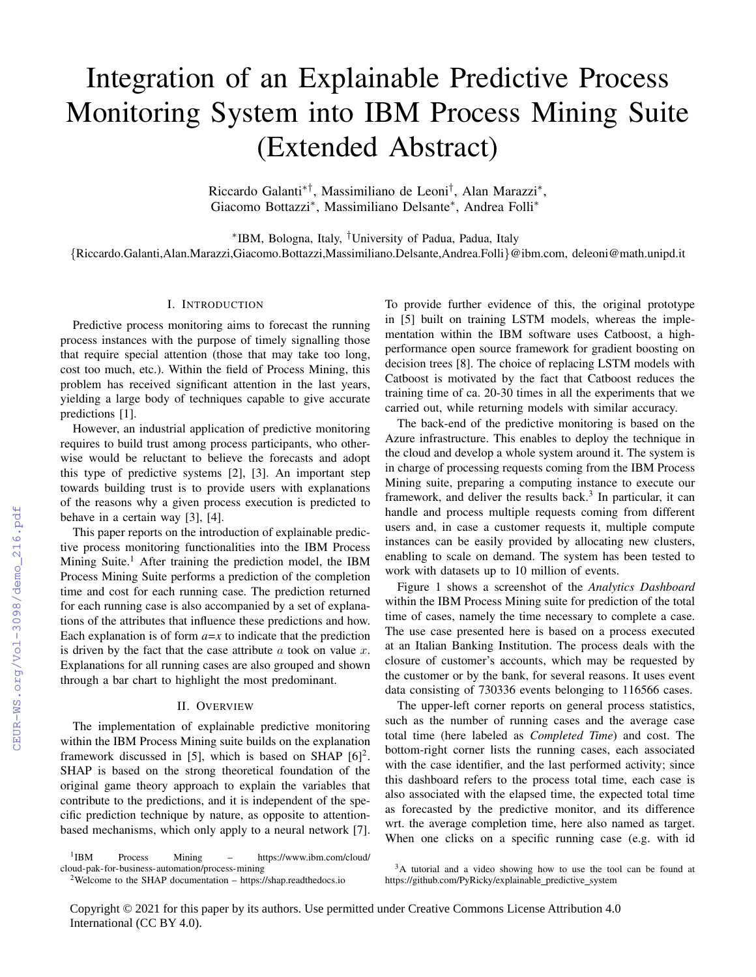# Integration of an Explainable Predictive Process Monitoring System into IBM Process Mining Suite (Extended Abstract)

Riccardo Galanti∗†, Massimiliano de Leoni† , Alan Marazzi<sup>∗</sup> , Giacomo Bottazzi<sup>∗</sup> , Massimiliano Delsante<sup>∗</sup> , Andrea Folli<sup>∗</sup>

∗ IBM, Bologna, Italy, †University of Padua, Padua, Italy {Riccardo.Galanti,Alan.Marazzi,Giacomo.Bottazzi,Massimiliano.Delsante,Andrea.Folli}@ibm.com, deleoni@math.unipd.it

## I. INTRODUCTION

Predictive process monitoring aims to forecast the running process instances with the purpose of timely signalling those that require special attention (those that may take too long, cost too much, etc.). Within the field of Process Mining, this problem has received significant attention in the last years, yielding a large body of techniques capable to give accurate predictions [\[1\]](#page--1-0).

However, an industrial application of predictive monitoring requires to build trust among process participants, who otherwise would be reluctant to believe the forecasts and adopt this type of predictive systems [\[2\]](#page--1-1), [\[3\]](#page--1-2). An important step towards building trust is to provide users with explanations of the reasons why a given process execution is predicted to behave in a certain way [\[3\]](#page--1-2), [\[4\]](#page--1-3).

This paper reports on the introduction of explainable predictive process monitoring functionalities into the IBM Process Mining Suite.<sup>[1](#page-0-0)</sup> After training the prediction model, the IBM Process Mining Suite performs a prediction of the completion time and cost for each running case. The prediction returned for each running case is also accompanied by a set of explanations of the attributes that influence these predictions and how. Each explanation is of form  $a=x$  to indicate that the prediction is driven by the fact that the case attribute  $a$  took on value  $x$ . Explanations for all running cases are also grouped and shown through a bar chart to highlight the most predominant.

### II. OVERVIEW

The implementation of explainable predictive monitoring within the IBM Process Mining suite builds on the explanation framework discussed in [\[5\]](#page--1-4), which is based on SHAP  $[6]^2$  $[6]^2$  $[6]^2$ . SHAP is based on the strong theoretical foundation of the original game theory approach to explain the variables that contribute to the predictions, and it is independent of the specific prediction technique by nature, as opposite to attentionbased mechanisms, which only apply to a neural network [\[7\]](#page--1-6).

To provide further evidence of this, the original prototype in [\[5\]](#page--1-4) built on training LSTM models, whereas the implementation within the IBM software uses Catboost, a highperformance open source framework for gradient boosting on decision trees [\[8\]](#page--1-7). The choice of replacing LSTM models with Catboost is motivated by the fact that Catboost reduces the training time of ca. 20-30 times in all the experiments that we carried out, while returning models with similar accuracy.

The back-end of the predictive monitoring is based on the Azure infrastructure. This enables to deploy the technique in the cloud and develop a whole system around it. The system is in charge of processing requests coming from the IBM Process Mining suite, preparing a computing instance to execute our framework, and deliver the results back.<sup>[3](#page-0-2)</sup> In particular, it can handle and process multiple requests coming from different users and, in case a customer requests it, multiple compute instances can be easily provided by allocating new clusters, enabling to scale on demand. The system has been tested to work with datasets up to 10 million of events.

Figure [1](#page--1-8) shows a screenshot of the *Analytics Dashboard* within the IBM Process Mining suite for prediction of the total time of cases, namely the time necessary to complete a case. The use case presented here is based on a process executed at an Italian Banking Institution. The process deals with the closure of customer's accounts, which may be requested by the customer or by the bank, for several reasons. It uses event data consisting of 730336 events belonging to 116566 cases.

The upper-left corner reports on general process statistics, such as the number of running cases and the average case total time (here labeled as *Completed Time*) and cost. The bottom-right corner lists the running cases, each associated with the case identifier, and the last performed activity; since this dashboard refers to the process total time, each case is also associated with the elapsed time, the expected total time as forecasted by the predictive monitor, and its difference wrt. the average completion time, here also named as target. When one clicks on a specific running case (e.g. with id

<span id="page-0-0"></span> $1$ IBM Process Mining – [https://www.ibm.com/cloud/](https://www.ibm.com/cloud/cloud-pak-for-business-automation/process-mining) [cloud-pak-for-business-automation/process-mining](https://www.ibm.com/cloud/cloud-pak-for-business-automation/process-mining)

<span id="page-0-1"></span><sup>&</sup>lt;sup>2</sup>Welcome to the SHAP documentation –<https://shap.readthedocs.io>

<span id="page-0-2"></span><sup>&</sup>lt;sup>3</sup>A tutorial and a video showing how to use the tool can be found at [https://github.com/PyRicky/explainable](https://github.com/PyRicky/explainable_predictive_system)\_predictive\_system

Copyright © 2021 for this paper by its authors. Use permitted under Creative Commons License Attribution 4.0 International (CC BY 4.0).